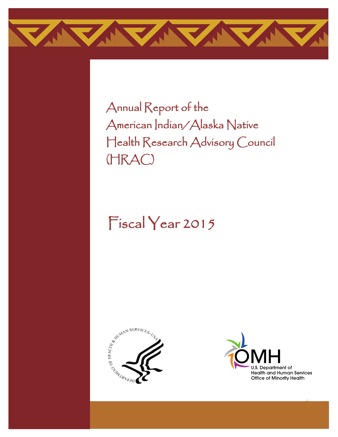

Annual Report of the American Indian/Alaska Native Health Research Advisory Council (HRAC)

# Fiscal Year 2015





i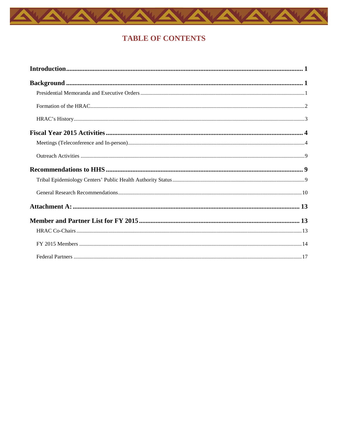

## **TABLE OF CONTENTS**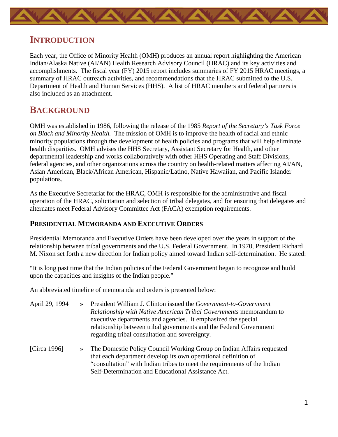<span id="page-2-0"></span>

# **INTRODUCTION**

Each year, the Office of Minority Health (OMH) produces an annual report highlighting the American Indian/Alaska Native (AI/AN) Health Research Advisory Council (HRAC) and its key activities and accomplishments. The fiscal year (FY) 2015 report includes summaries of FY 2015 HRAC meetings, a summary of HRAC outreach activities, and recommendations that the HRAC submitted to the U.S. Department of Health and Human Services (HHS). A list of HRAC members and federal partners is also included as an attachment.

# <span id="page-2-1"></span>**BACKGROUND**

OMH was established in 1986, following the release of the 1985 *Report of the Secretary's Task Force on Black and Minority Health.* The mission of OMH is to improve the health of racial and ethnic minority populations through the development of health policies and programs that will help eliminate health disparities. OMH advises the HHS Secretary, Assistant Secretary for Health, and other departmental leadership and works collaboratively with other HHS Operating and Staff Divisions, federal agencies, and other organizations across the country on health-related matters affecting AI/AN, Asian American, Black/African American, Hispanic/Latino, Native Hawaiian, and Pacific Islander populations.

As the Executive Secretariat for the HRAC, OMH is responsible for the administrative and fiscal operation of the HRAC, solicitation and selection of tribal delegates, and for ensuring that delegates and alternates meet Federal Advisory Committee Act (FACA) exemption requirements.

#### <span id="page-2-2"></span>**PRESIDENTIAL MEMORANDA AND EXECUTIVE ORDERS**

Presidential Memoranda and Executive Orders have been developed over the years in support of the relationship between tribal governments and the U.S. Federal Government. In 1970, President Richard M. Nixon set forth a new direction for Indian policy aimed toward Indian self-determination. He stated:

"It is long past time that the Indian policies of the Federal Government began to recognize and build upon the capacities and insights of the Indian people."

An abbreviated timeline of memoranda and orders is presented below:

| April 29, 1994 | $\rightarrow$ | President William J. Clinton issued the Government-to-Government<br>Relationship with Native American Tribal Governments memorandum to<br>executive departments and agencies. It emphasized the special<br>relationship between tribal governments and the Federal Government<br>regarding tribal consultation and sovereignty. |
|----------------|---------------|---------------------------------------------------------------------------------------------------------------------------------------------------------------------------------------------------------------------------------------------------------------------------------------------------------------------------------|
| [Circa 1996]   |               | The Domestic Policy Council Working Group on Indian Affairs requested<br>that each department develop its own operational definition of<br>"consultation" with Indian tribes to meet the requirements of the Indian<br>Self-Determination and Educational Assistance Act.                                                       |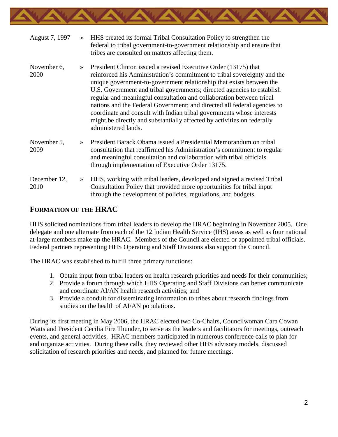

| August 7, 1997       | $\rightarrow$ | HHS created its formal Tribal Consultation Policy to strengthen the<br>federal to tribal government-to-government relationship and ensure that<br>tribes are consulted on matters affecting them.                                                                                                                                                                                                                                                                                                                                                                                                                            |
|----------------------|---------------|------------------------------------------------------------------------------------------------------------------------------------------------------------------------------------------------------------------------------------------------------------------------------------------------------------------------------------------------------------------------------------------------------------------------------------------------------------------------------------------------------------------------------------------------------------------------------------------------------------------------------|
| November 6,<br>2000  | $\gg$         | President Clinton issued a revised Executive Order (13175) that<br>reinforced his Administration's commitment to tribal sovereignty and the<br>unique government-to-government relationship that exists between the<br>U.S. Government and tribal governments; directed agencies to establish<br>regular and meaningful consultation and collaboration between tribal<br>nations and the Federal Government; and directed all federal agencies to<br>coordinate and consult with Indian tribal governments whose interests<br>might be directly and substantially affected by activities on federally<br>administered lands. |
| November 5,<br>2009  | $\rightarrow$ | President Barack Obama issued a Presidential Memorandum on tribal<br>consultation that reaffirmed his Administration's commitment to regular<br>and meaningful consultation and collaboration with tribal officials<br>through implementation of Executive Order 13175.                                                                                                                                                                                                                                                                                                                                                      |
| December 12,<br>2010 | $\rightarrow$ | HHS, working with tribal leaders, developed and signed a revised Tribal<br>Consultation Policy that provided more opportunities for tribal input<br>through the development of policies, regulations, and budgets.                                                                                                                                                                                                                                                                                                                                                                                                           |

#### <span id="page-3-0"></span>**FORMATION OF THE HRAC**

HHS solicited nominations from tribal leaders to develop the HRAC beginning in November 2005. One delegate and one alternate from each of the 12 Indian Health Service (IHS) areas as well as four national at-large members make up the HRAC. Members of the Council are elected or appointed tribal officials. Federal partners representing HHS Operating and Staff Divisions also support the Council.

The HRAC was established to fulfill three primary functions:

- 1. Obtain input from tribal leaders on health research priorities and needs for their communities;
- 2. Provide a forum through which HHS Operating and Staff Divisions can better communicate and coordinate AI/AN health research activities; and
- 3. Provide a conduit for disseminating information to tribes about research findings from studies on the health of AI/AN populations.

During its first meeting in May 2006, the HRAC elected two Co-Chairs, Councilwoman Cara Cowan Watts and President Cecilia Fire Thunder, to serve as the leaders and facilitators for meetings, outreach events, and general activities. HRAC members participated in numerous conference calls to plan for and organize activities. During these calls, they reviewed other HHS advisory models, discussed solicitation of research priorities and needs, and planned for future meetings.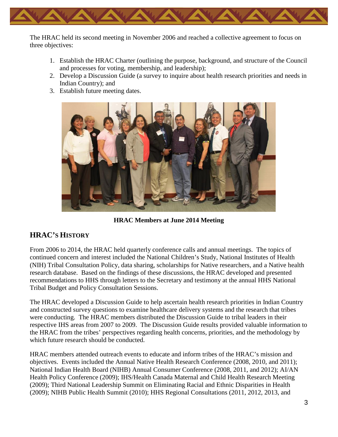

The HRAC held its second meeting in November 2006 and reached a collective agreement to focus on three objectives:

- 1. Establish the HRAC Charter (outlining the purpose, background, and structure of the Council and processes for voting, membership, and leadership);
- 2. Develop a Discussion Guide (a survey to inquire about health research priorities and needs in Indian Country); and
- 3. Establish future meeting dates.



**HRAC Members at June 2014 Meeting**

#### <span id="page-4-0"></span>**HRAC'S HISTORY**

From 2006 to 2014, the HRAC held quarterly conference calls and annual meetings. The topics of continued concern and interest included the National Children's Study, National Institutes of Health (NIH) Tribal Consultation Policy, data sharing, scholarships for Native researchers, and a Native health research database. Based on the findings of these discussions, the HRAC developed and presented recommendations to HHS through letters to the Secretary and testimony at the annual HHS National Tribal Budget and Policy Consultation Sessions.

The HRAC developed a Discussion Guide to help ascertain health research priorities in Indian Country and constructed survey questions to examine healthcare delivery systems and the research that tribes were conducting. The HRAC members distributed the Discussion Guide to tribal leaders in their respective IHS areas from 2007 to 2009. The Discussion Guide results provided valuable information to the HRAC from the tribes' perspectives regarding health concerns, priorities, and the methodology by which future research should be conducted.

HRAC members attended outreach events to educate and inform tribes of the HRAC's mission and objectives. Events included the Annual Native Health Research Conference (2008, 2010, and 2011); National Indian Health Board (NIHB) Annual Consumer Conference (2008, 2011, and 2012); AI/AN Health Policy Conference (2009); IHS/Health Canada Maternal and Child Health Research Meeting (2009); Third National Leadership Summit on Eliminating Racial and Ethnic Disparities in Health (2009); NIHB Public Health Summit (2010); HHS Regional Consultations (2011, 2012, 2013, and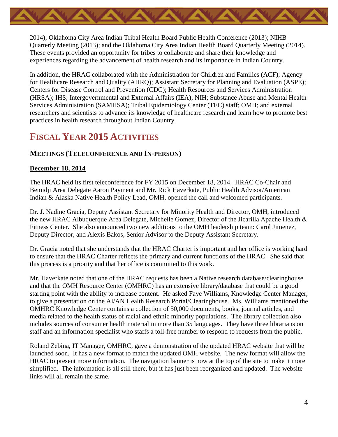

2014); Oklahoma City Area Indian Tribal Health Board Public Health Conference (2013); NIHB Quarterly Meeting (2013); and the Oklahoma City Area Indian Health Board Quarterly Meeting (2014). These events provided an opportunity for tribes to collaborate and share their knowledge and experiences regarding the advancement of health research and its importance in Indian Country.

In addition, the HRAC collaborated with the Administration for Children and Families (ACF); Agency for Healthcare Research and Quality (AHRQ); Assistant Secretary for Planning and Evaluation (ASPE); Centers for Disease Control and Prevention (CDC); Health Resources and Services Administration (HRSA); IHS; Intergovernmental and External Affairs (IEA); NIH; Substance Abuse and Mental Health Services Administration (SAMHSA); Tribal Epidemiology Center (TEC) staff; OMH; and external researchers and scientists to advance its knowledge of healthcare research and learn how to promote best practices in health research throughout Indian Country.

# <span id="page-5-0"></span>**FISCAL YEAR 2015 ACTIVITIES**

#### <span id="page-5-1"></span>**MEETINGS (TELECONFERENCE AND IN-PERSON)**

#### **December 18, 2014**

The HRAC held its first teleconference for FY 2015 on December 18, 2014. HRAC Co-Chair and Bemidji Area Delegate Aaron Payment and Mr. Rick Haverkate, Public Health Advisor/American Indian & Alaska Native Health Policy Lead, OMH, opened the call and welcomed participants.

Dr. J. Nadine Gracia, Deputy Assistant Secretary for Minority Health and Director, OMH, introduced the new HRAC Albuquerque Area Delegate, Michelle Gomez, Director of the Jicarilla Apache Health & Fitness Center. She also announced two new additions to the OMH leadership team: Carol Jimenez, Deputy Director, and Alexis Bakos, Senior Advisor to the Deputy Assistant Secretary.

Dr. Gracia noted that she understands that the HRAC Charter is important and her office is working hard to ensure that the HRAC Charter reflects the primary and current functions of the HRAC. She said that this process is a priority and that her office is committed to this work.

Mr. Haverkate noted that one of the HRAC requests has been a Native research database/clearinghouse and that the OMH Resource Center (OMHRC) has an extensive library/database that could be a good starting point with the ability to increase content. He asked Faye Williams, Knowledge Center Manager, to give a presentation on the AI/AN Health Research Portal/Clearinghouse. Ms. Williams mentioned the OMHRC Knowledge Center contains a collection of 50,000 documents, books, journal articles, and media related to the health status of racial and ethnic minority populations. The library collection also includes sources of consumer health material in more than 35 languages. They have three librarians on staff and an information specialist who staffs a toll-free number to respond to requests from the public.

Roland Zebina, IT Manager, OMHRC, gave a demonstration of the updated HRAC website that will be launched soon. It has a new format to match the updated OMH website. The new format will allow the HRAC to present more information. The navigation banner is now at the top of the site to make it more simplified. The information is all still there, but it has just been reorganized and updated. The website links will all remain the same.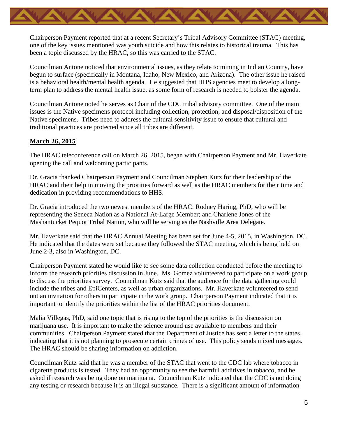

Chairperson Payment reported that at a recent Secretary's Tribal Advisory Committee (STAC) meeting, one of the key issues mentioned was youth suicide and how this relates to historical trauma. This has been a topic discussed by the HRAC, so this was carried to the STAC.

Councilman Antone noticed that environmental issues, as they relate to mining in Indian Country, have begun to surface (specifically in Montana, Idaho, New Mexico, and Arizona). The other issue he raised is a behavioral health/mental health agenda. He suggested that HHS agencies meet to develop a longterm plan to address the mental health issue, as some form of research is needed to bolster the agenda.

Councilman Antone noted he serves as Chair of the CDC tribal advisory committee. One of the main issues is the Native specimens protocol including collection, protection, and disposal/disposition of the Native specimens. Tribes need to address the cultural sensitivity issue to ensure that cultural and traditional practices are protected since all tribes are different.

#### **March 26, 2015**

The HRAC teleconference call on March 26, 2015, began with Chairperson Payment and Mr. Haverkate opening the call and welcoming participants.

Dr. Gracia thanked Chairperson Payment and Councilman Stephen Kutz for their leadership of the HRAC and their help in moving the priorities forward as well as the HRAC members for their time and dedication in providing recommendations to HHS.

Dr. Gracia introduced the two newest members of the HRAC: Rodney Haring, PhD, who will be representing the Seneca Nation as a National At-Large Member; and Charlene Jones of the Mashantucket Pequot Tribal Nation, who will be serving as the Nashville Area Delegate.

Mr. Haverkate said that the HRAC Annual Meeting has been set for June 4-5, 2015, in Washington, DC. He indicated that the dates were set because they followed the STAC meeting, which is being held on June 2-3, also in Washington, DC.

Chairperson Payment stated he would like to see some data collection conducted before the meeting to inform the research priorities discussion in June. Ms. Gomez volunteered to participate on a work group to discuss the priorities survey. Councilman Kutz said that the audience for the data gathering could include the tribes and EpiCenters, as well as urban organizations. Mr. Haverkate volunteered to send out an invitation for others to participate in the work group. Chairperson Payment indicated that it is important to identify the priorities within the list of the HRAC priorities document.

Malia Villegas, PhD, said one topic that is rising to the top of the priorities is the discussion on marijuana use. It is important to make the science around use available to members and their communities. Chairperson Payment stated that the Department of Justice has sent a letter to the states, indicating that it is not planning to prosecute certain crimes of use. This policy sends mixed messages. The HRAC should be sharing information on addiction.

Councilman Kutz said that he was a member of the STAC that went to the CDC lab where tobacco in cigarette products is tested. They had an opportunity to see the harmful additives in tobacco, and he asked if research was being done on marijuana. Councilman Kutz indicated that the CDC is not doing any testing or research because it is an illegal substance. There is a significant amount of information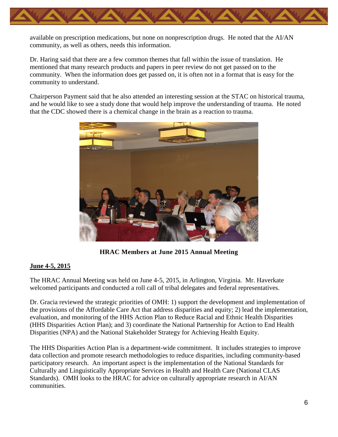

available on prescription medications, but none on nonprescription drugs. He noted that the AI/AN community, as well as others, needs this information.

Dr. Haring said that there are a few common themes that fall within the issue of translation. He mentioned that many research products and papers in peer review do not get passed on to the community. When the information does get passed on, it is often not in a format that is easy for the community to understand.

Chairperson Payment said that he also attended an interesting session at the STAC on historical trauma, and he would like to see a study done that would help improve the understanding of trauma. He noted that the CDC showed there is a chemical change in the brain as a reaction to trauma.



**HRAC Members at June 2015 Annual Meeting**

#### **June 4-5, 2015**

The HRAC Annual Meeting was held on June 4-5, 2015, in Arlington, Virginia. Mr. Haverkate welcomed participants and conducted a roll call of tribal delegates and federal representatives.

Dr. Gracia reviewed the strategic priorities of OMH: 1) support the development and implementation of the provisions of the Affordable Care Act that address disparities and equity; 2) lead the implementation, evaluation, and monitoring of the HHS Action Plan to Reduce Racial and Ethnic Health Disparities (HHS Disparities Action Plan); and 3) coordinate the National Partnership for Action to End Health Disparities (NPA) and the National Stakeholder Strategy for Achieving Health Equity.

The HHS Disparities Action Plan is a department-wide commitment. It includes strategies to improve data collection and promote research methodologies to reduce disparities, including community-based participatory research. An important aspect is the implementation of the National Standards for Culturally and Linguistically Appropriate Services in Health and Health Care (National CLAS Standards). OMH looks to the HRAC for advice on culturally appropriate research in AI/AN communities.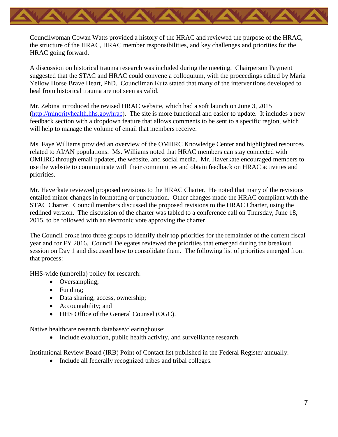

Councilwoman Cowan Watts provided a history of the HRAC and reviewed the purpose of the HRAC, the structure of the HRAC, HRAC member responsibilities, and key challenges and priorities for the HRAC going forward.

A discussion on historical trauma research was included during the meeting. Chairperson Payment suggested that the STAC and HRAC could convene a colloquium, with the proceedings edited by Maria Yellow Horse Brave Heart, PhD. Councilman Kutz stated that many of the interventions developed to heal from historical trauma are not seen as valid.

Mr. Zebina introduced the revised HRAC website, which had a soft launch on June 3, 2015 [\(http://minorityhealth.hhs.gov/hrac\)](http://minorityhealth.hhs.gov/hrac). The site is more functional and easier to update. It includes a new feedback section with a dropdown feature that allows comments to be sent to a specific region, which will help to manage the volume of email that members receive.

Ms. Faye Williams provided an overview of the OMHRC Knowledge Center and highlighted resources related to AI/AN populations. Ms. Williams noted that HRAC members can stay connected with OMHRC through email updates, the website, and social media. Mr. Haverkate encouraged members to use the website to communicate with their communities and obtain feedback on HRAC activities and priorities.

Mr. Haverkate reviewed proposed revisions to the HRAC Charter. He noted that many of the revisions entailed minor changes in formatting or punctuation. Other changes made the HRAC compliant with the STAC Charter. Council members discussed the proposed revisions to the HRAC Charter, using the redlined version. The discussion of the charter was tabled to a conference call on Thursday, June 18, 2015, to be followed with an electronic vote approving the charter.

The Council broke into three groups to identify their top priorities for the remainder of the current fiscal year and for FY 2016. Council Delegates reviewed the priorities that emerged during the breakout session on Day 1 and discussed how to consolidate them. The following list of priorities emerged from that process:

HHS-wide (umbrella) policy for research:

- Oversampling;
- Funding;
- Data sharing, access, ownership;
- Accountability; and
- HHS Office of the General Counsel (OGC).

Native healthcare research database/clearinghouse:

• Include evaluation, public health activity, and surveillance research.

Institutional Review Board (IRB) Point of Contact list published in the Federal Register annually:

• Include all federally recognized tribes and tribal colleges.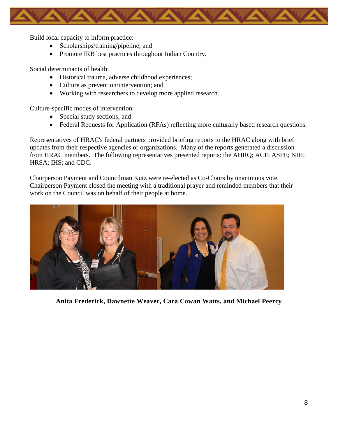

Build local capacity to inform practice:

- Scholarships/training/pipeline; and
- Promote IRB best practices throughout Indian Country.

Social determinants of health:

- Historical trauma, adverse childhood experiences;
- Culture as prevention/intervention; and
- Working with researchers to develop more applied research.

Culture-specific modes of intervention:

- Special study sections; and
- Federal Requests for Application (RFAs) reflecting more culturally based research questions.

Representatives of HRAC's federal partners provided briefing reports to the HRAC along with brief updates from their respective agencies or organizations. Many of the reports generated a discussion from HRAC members. The following representatives presented reports: the AHRQ; ACF; ASPE; NIH; HRSA; IHS; and CDC.

Chairperson Payment and Councilman Kutz were re-elected as Co-Chairs by unanimous vote. Chairperson Payment closed the meeting with a traditional prayer and reminded members that their work on the Council was on behalf of their people at home.



**Anita Frederick, Dawnette Weaver, Cara Cowan Watts, and Michael Peercy**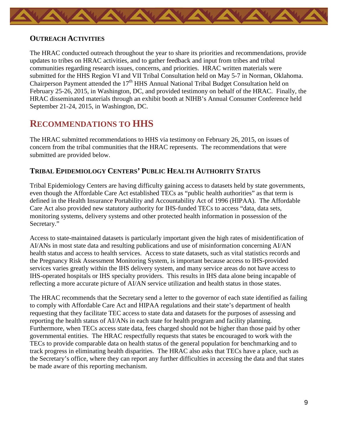<span id="page-10-0"></span>

#### **OUTREACH ACTIVITIES**

The HRAC conducted outreach throughout the year to share its priorities and recommendations, provide updates to tribes on HRAC activities, and to gather feedback and input from tribes and tribal communities regarding research issues, concerns, and priorities. HRAC written materials were submitted for the HHS Region VI and VII Tribal Consultation held on May 5-7 in Norman, Oklahoma. Chairperson Payment attended the 17<sup>th</sup> HHS Annual National Tribal Budget Consultation held on February 25-26, 2015, in Washington, DC, and provided testimony on behalf of the HRAC. Finally, the HRAC disseminated materials through an exhibit booth at NIHB's Annual Consumer Conference held September 21-24, 2015, in Washington, DC.

# <span id="page-10-1"></span>**RECOMMENDATIONS TO HHS**

The HRAC submitted recommendations to HHS via testimony on February 26, 2015, on issues of concern from the tribal communities that the HRAC represents. The recommendations that were submitted are provided below.

### <span id="page-10-2"></span>**TRIBAL EPIDEMIOLOGY CENTERS' PUBLIC HEALTH AUTHORITY STATUS**

Tribal Epidemiology Centers are having difficulty gaining access to datasets held by state governments, even though the Affordable Care Act established TECs as "public health authorities" as that term is defined in the Health Insurance Portability and Accountability Act of 1996 (HIPAA). The Affordable Care Act also provided new statutory authority for IHS-funded TECs to access "data, data sets, monitoring systems, delivery systems and other protected health information in possession of the Secretary."

Access to state-maintained datasets is particularly important given the high rates of misidentification of AI/ANs in most state data and resulting publications and use of misinformation concerning AI/AN health status and access to health services. Access to state datasets, such as vital statistics records and the Pregnancy Risk Assessment Monitoring System, is important because access to IHS-provided services varies greatly within the IHS delivery system, and many service areas do not have access to IHS-operated hospitals or IHS specialty providers. This results in IHS data alone being incapable of reflecting a more accurate picture of AI/AN service utilization and health status in those states.

The HRAC recommends that the Secretary send a letter to the governor of each state identified as failing to comply with Affordable Care Act and HIPAA regulations and their state's department of health requesting that they facilitate TEC access to state data and datasets for the purposes of assessing and reporting the health status of AI/ANs in each state for health program and facility planning. Furthermore, when TECs access state data, fees charged should not be higher than those paid by other governmental entities. The HRAC respectfully requests that states be encouraged to work with the TECs to provide comparable data on health status of the general population for benchmarking and to track progress in eliminating health disparities. The HRAC also asks that TECs have a place, such as the Secretary's office, where they can report any further difficulties in accessing the data and that states be made aware of this reporting mechanism.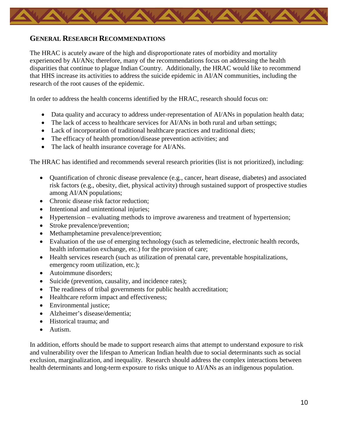<span id="page-11-0"></span>

#### **GENERAL RESEARCH RECOMMENDATIONS**

The HRAC is acutely aware of the high and disproportionate rates of morbidity and mortality experienced by AI/ANs; therefore, many of the recommendations focus on addressing the health disparities that continue to plague Indian Country. Additionally, the HRAC would like to recommend that HHS increase its activities to address the suicide epidemic in AI/AN communities, including the research of the root causes of the epidemic.

In order to address the health concerns identified by the HRAC, research should focus on:

- Data quality and accuracy to address under-representation of AI/ANs in population health data;
- The lack of access to healthcare services for AI/ANs in both rural and urban settings;
- Lack of incorporation of traditional healthcare practices and traditional diets;
- The efficacy of health promotion/disease prevention activities; and
- The lack of health insurance coverage for AI/ANs.

The HRAC has identified and recommends several research priorities (list is not prioritized), including:

- Quantification of chronic disease prevalence (e.g., cancer, heart disease, diabetes) and associated risk factors (e.g., obesity, diet, physical activity) through sustained support of prospective studies among AI/AN populations;
- Chronic disease risk factor reduction:
- Intentional and unintentional injuries;
- Hypertension evaluating methods to improve awareness and treatment of hypertension;
- Stroke prevalence/prevention;
- Methamphetamine prevalence/prevention;
- Evaluation of the use of emerging technology (such as telemedicine, electronic health records, health information exchange, etc.) for the provision of care;
- Health services research (such as utilization of prenatal care, preventable hospitalizations, emergency room utilization, etc.);
- Autoimmune disorders;
- Suicide (prevention, causality, and incidence rates);
- The readiness of tribal governments for public health accreditation;
- Healthcare reform impact and effectiveness;
- Environmental justice;
- Alzheimer's disease/dementia;
- Historical trauma: and
- Autism.

In addition, efforts should be made to support research aims that attempt to understand exposure to risk and vulnerability over the lifespan to American Indian health due to social determinants such as social exclusion, marginalization, and inequality. Research should address the complex interactions between health determinants and long-term exposure to risks unique to AI/ANs as an indigenous population.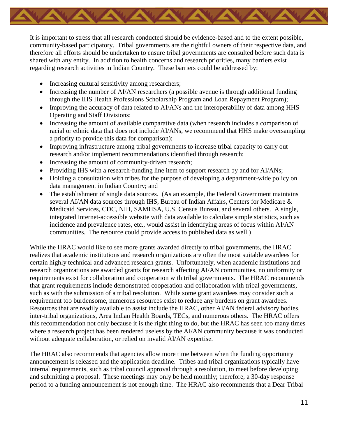

It is important to stress that all research conducted should be evidence-based and to the extent possible, community-based participatory. Tribal governments are the rightful owners of their respective data, and therefore all efforts should be undertaken to ensure tribal governments are consulted before such data is shared with any entity. In addition to health concerns and research priorities, many barriers exist regarding research activities in Indian Country. These barriers could be addressed by:

- Increasing cultural sensitivity among researchers;
- Increasing the number of AI/AN researchers (a possible avenue is through additional funding through the IHS Health Professions Scholarship Program and Loan Repayment Program);
- Improving the accuracy of data related to AI/ANs and the interoperability of data among HHS Operating and Staff Divisions;
- Increasing the amount of available comparative data (when research includes a comparison of racial or ethnic data that does not include AI/ANs, we recommend that HHS make oversampling a priority to provide this data for comparison);
- Improving infrastructure among tribal governments to increase tribal capacity to carry out research and/or implement recommendations identified through research;
- Increasing the amount of community-driven research;
- Providing IHS with a research-funding line item to support research by and for AI/ANs;
- Holding a consultation with tribes for the purpose of developing a department-wide policy on data management in Indian Country; and
- The establishment of single data sources. (As an example, the Federal Government maintains several AI/AN data sources through IHS, Bureau of Indian Affairs, Centers for Medicare & Medicaid Services, CDC, NIH, SAMHSA, U.S. Census Bureau, and several others. A single, integrated Internet-accessible website with data available to calculate simple statistics, such as incidence and prevalence rates, etc., would assist in identifying areas of focus within AI/AN communities. The resource could provide access to published data as well.)

While the HRAC would like to see more grants awarded directly to tribal governments, the HRAC realizes that academic institutions and research organizations are often the most suitable awardees for certain highly technical and advanced research grants. Unfortunately, when academic institutions and research organizations are awarded grants for research affecting AI/AN communities, no uniformity or requirements exist for collaboration and cooperation with tribal governments. The HRAC recommends that grant requirements include demonstrated cooperation and collaboration with tribal governments, such as with the submission of a tribal resolution. While some grant awardees may consider such a requirement too burdensome, numerous resources exist to reduce any burdens on grant awardees. Resources that are readily available to assist include the HRAC, other AI/AN federal advisory bodies, inter-tribal organizations, Area Indian Health Boards, TECs, and numerous others. The HRAC offers this recommendation not only because it is the right thing to do, but the HRAC has seen too many times where a research project has been rendered useless by the AI/AN community because it was conducted without adequate collaboration, or relied on invalid AI/AN expertise.

The HRAC also recommends that agencies allow more time between when the funding opportunity announcement is released and the application deadline. Tribes and tribal organizations typically have internal requirements, such as tribal council approval through a resolution, to meet before developing and submitting a proposal. These meetings may only be held monthly; therefore, a 30-day response period to a funding announcement is not enough time. The HRAC also recommends that a Dear Tribal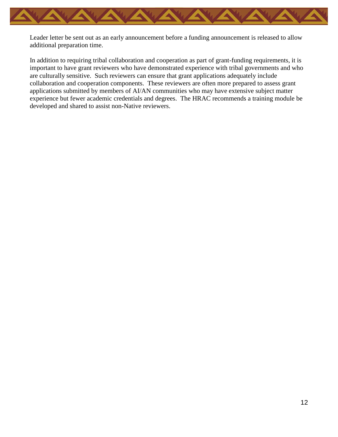

Leader letter be sent out as an early announcement before a funding announcement is released to allow additional preparation time.

In addition to requiring tribal collaboration and cooperation as part of grant-funding requirements, it is important to have grant reviewers who have demonstrated experience with tribal governments and who are culturally sensitive. Such reviewers can ensure that grant applications adequately include collaboration and cooperation components. These reviewers are often more prepared to assess grant applications submitted by members of AI/AN communities who may have extensive subject matter experience but fewer academic credentials and degrees. The HRAC recommends a training module be developed and shared to assist non-Native reviewers.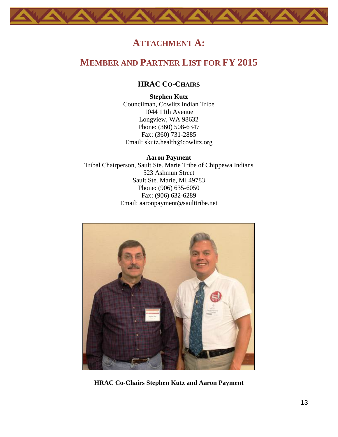# **ATTACHMENT A:**

# <span id="page-14-2"></span><span id="page-14-1"></span><span id="page-14-0"></span>**MEMBER AND PARTNER LIST FOR FY 2015**

### **HRAC CO-CHAIRS**

**Stephen Kutz** Councilman, Cowlitz Indian Tribe 1044 11th Avenue Longview, WA 98632 Phone: (360) 508-6347 Fax: (360) 731-2885 Email: [skutz.health@cowlitz.org](mailto:skutz.health@cowlitz.org)

**Aaron Payment**  Tribal Chairperson, Sault Ste. Marie Tribe of Chippewa Indians 523 Ashmun Street Sault Ste. Marie, MI 49783 Phone: (906) 635-6050 Fax: (906) 632-6289 Email: [aaronpayment@saulttribe.net](mailto:aaronpayment@saulttribe.net)



**HRAC Co-Chairs Stephen Kutz and Aaron Payment**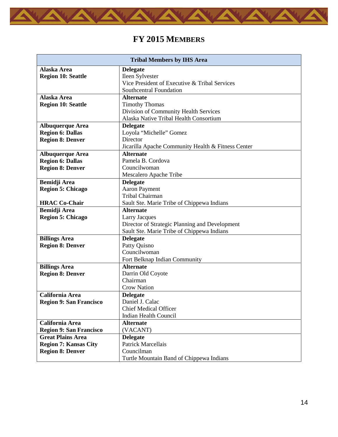<span id="page-15-0"></span>

# **FY 2015 MEMBERS**

| <b>Tribal Members by IHS Area</b> |                                                    |  |
|-----------------------------------|----------------------------------------------------|--|
| Alaska Area                       | <b>Delegate</b>                                    |  |
| <b>Region 10: Seattle</b>         | Ileen Sylvester                                    |  |
|                                   | Vice President of Executive & Tribal Services      |  |
|                                   | Southcentral Foundation                            |  |
| Alaska Area                       | <b>Alternate</b>                                   |  |
| <b>Region 10: Seattle</b>         | <b>Timothy Thomas</b>                              |  |
|                                   | Division of Community Health Services              |  |
|                                   | Alaska Native Tribal Health Consortium             |  |
| <b>Albuquerque Area</b>           | <b>Delegate</b>                                    |  |
| <b>Region 6: Dallas</b>           | Loyola "Michelle" Gomez                            |  |
| <b>Region 8: Denver</b>           | Director                                           |  |
|                                   | Jicarilla Apache Community Health & Fitness Center |  |
| <b>Albuquerque Area</b>           | <b>Alternate</b>                                   |  |
| <b>Region 6: Dallas</b>           | Pamela B. Cordova                                  |  |
| <b>Region 8: Denver</b>           | Councilwoman                                       |  |
|                                   | Mescalero Apache Tribe                             |  |
| <b>Bemidji Area</b>               | <b>Delegate</b>                                    |  |
| <b>Region 5: Chicago</b>          | <b>Aaron Payment</b>                               |  |
|                                   | Tribal Chairman                                    |  |
| <b>HRAC Co-Chair</b>              | Sault Ste. Marie Tribe of Chippewa Indians         |  |
| <b>Bemidji Area</b>               | <b>Alternate</b>                                   |  |
| <b>Region 5: Chicago</b>          | <b>Larry Jacques</b>                               |  |
|                                   | Director of Strategic Planning and Development     |  |
|                                   | Sault Ste. Marie Tribe of Chippewa Indians         |  |
| <b>Billings Area</b>              | <b>Delegate</b>                                    |  |
| <b>Region 8: Denver</b>           | Patty Quisno<br>Councilwoman                       |  |
|                                   |                                                    |  |
|                                   | Fort Belknap Indian Community<br><b>Alternate</b>  |  |
| <b>Billings Area</b>              |                                                    |  |
| <b>Region 8: Denver</b>           | Darrin Old Coyote<br>Chairman                      |  |
|                                   | <b>Crow Nation</b>                                 |  |
| <b>California Area</b>            | <b>Delegate</b>                                    |  |
| <b>Region 9: San Francisco</b>    | Daniel J. Calac                                    |  |
|                                   | <b>Chief Medical Officer</b>                       |  |
|                                   | <b>Indian Health Council</b>                       |  |
| California Area                   | <b>Alternate</b>                                   |  |
| <b>Region 9: San Francisco</b>    | (VACANT)                                           |  |
| <b>Great Plains Area</b>          | <b>Delegate</b>                                    |  |
| <b>Region 7: Kansas City</b>      | <b>Patrick Marcellais</b>                          |  |
| <b>Region 8: Denver</b>           | Councilman                                         |  |
|                                   | Turtle Mountain Band of Chippewa Indians           |  |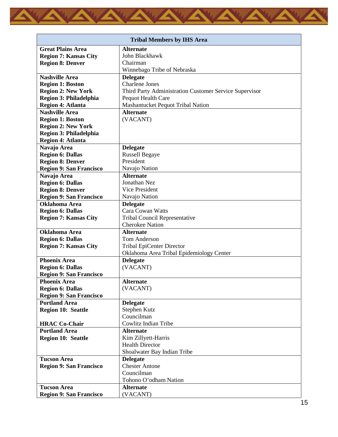

| <b>Tribal Members by IHS Area</b> |                                                        |  |
|-----------------------------------|--------------------------------------------------------|--|
| <b>Great Plains Area</b>          | <b>Alternate</b>                                       |  |
| <b>Region 7: Kansas City</b>      | John Blackhawk                                         |  |
| <b>Region 8: Denver</b>           | Chairman                                               |  |
|                                   | Winnebago Tribe of Nebraska                            |  |
| <b>Nashville Area</b>             | <b>Delegate</b>                                        |  |
| <b>Region 1: Boston</b>           | <b>Charlene Jones</b>                                  |  |
| <b>Region 2: New York</b>         | Third Party Administration Customer Service Supervisor |  |
| Region 3: Philadelphia            | Pequot Health Care                                     |  |
| <b>Region 4: Atlanta</b>          | Mashantucket Pequot Tribal Nation                      |  |
| <b>Nashville Area</b>             | <b>Alternate</b>                                       |  |
| <b>Region 1: Boston</b>           | (VACANT)                                               |  |
| <b>Region 2: New York</b>         |                                                        |  |
| Region 3: Philadelphia            |                                                        |  |
| <b>Region 4: Atlanta</b>          |                                                        |  |
| Navajo Area                       | <b>Delegate</b>                                        |  |
| <b>Region 6: Dallas</b>           | <b>Russell Begaye</b>                                  |  |
| <b>Region 8: Denver</b>           | President                                              |  |
| <b>Region 9: San Francisco</b>    | Navajo Nation                                          |  |
| Navajo Area                       | <b>Alternate</b>                                       |  |
| <b>Region 6: Dallas</b>           | Jonathan Nez                                           |  |
| <b>Region 8: Denver</b>           | Vice President                                         |  |
| <b>Region 9: San Francisco</b>    | Navajo Nation                                          |  |
| <b>Oklahoma Area</b>              | <b>Delegate</b>                                        |  |
| <b>Region 6: Dallas</b>           | Cara Cowan Watts                                       |  |
| <b>Region 7: Kansas City</b>      | <b>Tribal Council Representative</b>                   |  |
|                                   | <b>Cherokee Nation</b>                                 |  |
| <b>Oklahoma</b> Area              | <b>Alternate</b>                                       |  |
| <b>Region 6: Dallas</b>           | <b>Tom Anderson</b>                                    |  |
| <b>Region 7: Kansas City</b>      | <b>Tribal EpiCenter Director</b>                       |  |
|                                   | Oklahoma Area Tribal Epidemiology Center               |  |
| <b>Phoenix Area</b>               | <b>Delegate</b>                                        |  |
| <b>Region 6: Dallas</b>           | (VACANT)                                               |  |
| <b>Region 9: San Francisco</b>    |                                                        |  |
| <b>Phoenix Area</b>               | <b>Alternate</b>                                       |  |
| <b>Region 6: Dallas</b>           | (VACANT)                                               |  |
| <b>Region 9: San Francisco</b>    |                                                        |  |
| <b>Portland Area</b>              | <b>Delegate</b>                                        |  |
| <b>Region 10: Seattle</b>         | Stephen Kutz                                           |  |
|                                   | Councilman                                             |  |
| <b>HRAC Co-Chair</b>              | Cowlitz Indian Tribe                                   |  |
| <b>Portland Area</b>              | <b>Alternate</b>                                       |  |
| <b>Region 10: Seattle</b>         | Kim Zillyett-Harris                                    |  |
|                                   | <b>Health Director</b>                                 |  |
|                                   | Shoalwater Bay Indian Tribe                            |  |
| <b>Tucson Area</b>                | <b>Delegate</b>                                        |  |
| <b>Region 9: San Francisco</b>    | <b>Chester Antone</b>                                  |  |
|                                   | Councilman                                             |  |
|                                   | Tohono O'odham Nation                                  |  |
| <b>Tucson Area</b>                | <b>Alternate</b>                                       |  |
| <b>Region 9: San Francisco</b>    | (VACANT)                                               |  |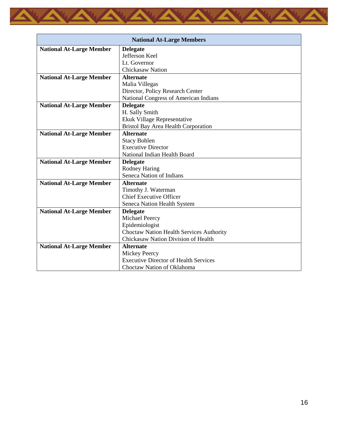

| <b>National At-Large Members</b> |                                                 |
|----------------------------------|-------------------------------------------------|
| <b>National At-Large Member</b>  | <b>Delegate</b>                                 |
|                                  | Jefferson Keel                                  |
|                                  | Lt. Governor                                    |
|                                  | <b>Chickasaw Nation</b>                         |
| <b>National At-Large Member</b>  | <b>Alternate</b>                                |
|                                  | Malia Villegas                                  |
|                                  | Director, Policy Research Center                |
|                                  | National Congress of American Indians           |
| <b>National At-Large Member</b>  | <b>Delegate</b>                                 |
|                                  | H. Sally Smith                                  |
|                                  | Ekuk Village Representative                     |
|                                  | <b>Bristol Bay Area Health Corporation</b>      |
| <b>National At-Large Member</b>  | <b>Alternate</b>                                |
|                                  | <b>Stacy Bohlen</b>                             |
|                                  | <b>Executive Director</b>                       |
|                                  | National Indian Health Board                    |
| <b>National At-Large Member</b>  | <b>Delegate</b>                                 |
|                                  | Rodney Haring                                   |
|                                  | Seneca Nation of Indians                        |
| <b>National At-Large Member</b>  | <b>Alternate</b>                                |
|                                  | Timothy J. Waterman                             |
|                                  | <b>Chief Executive Officer</b>                  |
|                                  | Seneca Nation Health System                     |
| <b>National At-Large Member</b>  | <b>Delegate</b>                                 |
|                                  | Michael Peercy                                  |
|                                  | Epidemiologist                                  |
|                                  | <b>Choctaw Nation Health Services Authority</b> |
|                                  | Chickasaw Nation Division of Health             |
| <b>National At-Large Member</b>  | <b>Alternate</b>                                |
|                                  | <b>Mickey Peercy</b>                            |
|                                  | <b>Executive Director of Health Services</b>    |
|                                  | Choctaw Nation of Oklahoma                      |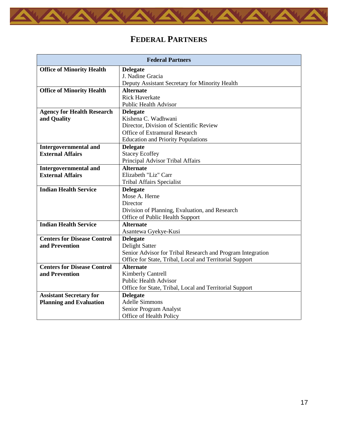<span id="page-18-0"></span>

# **FEDERAL PARTNERS**

| <b>Federal Partners</b>            |                                                            |  |
|------------------------------------|------------------------------------------------------------|--|
| <b>Office of Minority Health</b>   | <b>Delegate</b>                                            |  |
|                                    | J. Nadine Gracia                                           |  |
|                                    | Deputy Assistant Secretary for Minority Health             |  |
| <b>Office of Minority Health</b>   | <b>Alternate</b>                                           |  |
|                                    | <b>Rick Haverkate</b>                                      |  |
|                                    | <b>Public Health Advisor</b>                               |  |
| <b>Agency for Health Research</b>  | <b>Delegate</b>                                            |  |
| and Quality                        | Kishena C. Wadhwani                                        |  |
|                                    | Director, Division of Scientific Review                    |  |
|                                    | <b>Office of Extramural Research</b>                       |  |
|                                    | <b>Education and Priority Populations</b>                  |  |
| <b>Intergovernmental and</b>       | <b>Delegate</b>                                            |  |
| <b>External Affairs</b>            | <b>Stacey Ecoffey</b>                                      |  |
|                                    | Principal Advisor Tribal Affairs                           |  |
| <b>Intergovernmental and</b>       | <b>Alternate</b>                                           |  |
| <b>External Affairs</b>            | Elizabeth "Liz" Carr                                       |  |
|                                    | <b>Tribal Affairs Specialist</b>                           |  |
| <b>Indian Health Service</b>       | <b>Delegate</b>                                            |  |
|                                    | Mose A. Herne                                              |  |
|                                    | Director                                                   |  |
|                                    | Division of Planning, Evaluation, and Research             |  |
|                                    | Office of Public Health Support                            |  |
| <b>Indian Health Service</b>       | <b>Alternate</b>                                           |  |
|                                    | Asantewa Gyekye-Kusi                                       |  |
| <b>Centers for Disease Control</b> | <b>Delegate</b>                                            |  |
| and Prevention                     | Delight Satter                                             |  |
|                                    | Senior Advisor for Tribal Research and Program Integration |  |
|                                    | Office for State, Tribal, Local and Territorial Support    |  |
| <b>Centers for Disease Control</b> | <b>Alternate</b>                                           |  |
| and Prevention                     | <b>Kimberly Cantrell</b><br><b>Public Health Advisor</b>   |  |
|                                    |                                                            |  |
|                                    | Office for State, Tribal, Local and Territorial Support    |  |
| <b>Assistant Secretary for</b>     | <b>Delegate</b><br><b>Adelle Simmons</b>                   |  |
| <b>Planning and Evaluation</b>     |                                                            |  |
|                                    | Senior Program Analyst                                     |  |
|                                    | Office of Health Policy                                    |  |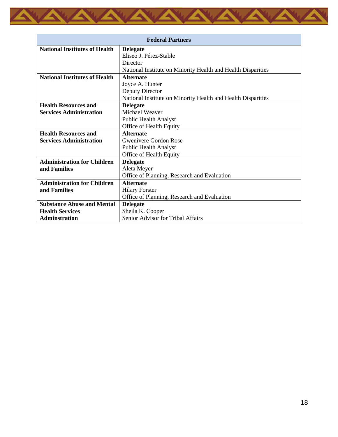

| <b>Federal Partners</b>              |                                                              |  |
|--------------------------------------|--------------------------------------------------------------|--|
| <b>National Institutes of Health</b> | <b>Delegate</b>                                              |  |
|                                      | Eliseo J. Pérez-Stable                                       |  |
|                                      | Director                                                     |  |
|                                      | National Institute on Minority Health and Health Disparities |  |
| <b>National Institutes of Health</b> | <b>Alternate</b>                                             |  |
|                                      | Joyce A. Hunter                                              |  |
|                                      | Deputy Director                                              |  |
|                                      | National Institute on Minority Health and Health Disparities |  |
| <b>Health Resources and</b>          | <b>Delegate</b>                                              |  |
| <b>Services Administration</b>       | Michael Weaver                                               |  |
|                                      | <b>Public Health Analyst</b>                                 |  |
|                                      | Office of Health Equity                                      |  |
| <b>Health Resources and</b>          | <b>Alternate</b>                                             |  |
| <b>Services Administration</b>       | Gwenivere Gordon Rose                                        |  |
|                                      | <b>Public Health Analyst</b>                                 |  |
|                                      | Office of Health Equity                                      |  |
| <b>Administration for Children</b>   | <b>Delegate</b>                                              |  |
| and Families                         | Aleta Meyer                                                  |  |
|                                      | Office of Planning, Research and Evaluation                  |  |
| <b>Administration for Children</b>   | <b>Alternate</b>                                             |  |
| and Families                         | <b>Hilary Forster</b>                                        |  |
|                                      | Office of Planning, Research and Evaluation                  |  |
| <b>Substance Abuse and Mental</b>    | <b>Delegate</b>                                              |  |
| <b>Health Services</b>               | Sheila K. Cooper                                             |  |
| <b>Adminstration</b>                 | Senior Advisor for Tribal Affairs                            |  |